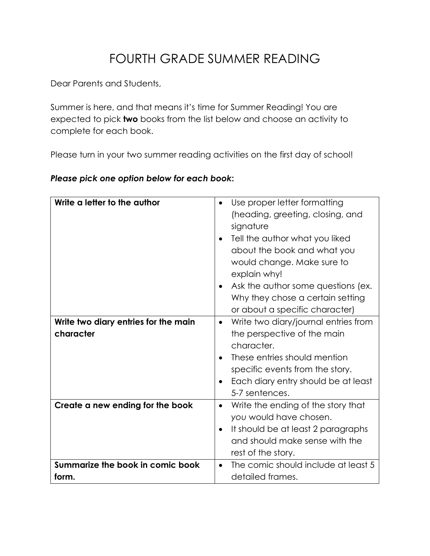## FOURTH GRADE SUMMER READING

Dear Parents and Students,

Summer is here, and that means it's time for Summer Reading! You are expected to pick **two** books from the list below and choose an activity to complete for each book.

Please turn in your two summer reading activities on the first day of school!

## *Please pick one option below for each book***:**

| Write a letter to the author         | Use proper letter formatting<br>$\bullet$         |
|--------------------------------------|---------------------------------------------------|
|                                      | (heading, greeting, closing, and                  |
|                                      | signature                                         |
|                                      | Tell the author what you liked                    |
|                                      | about the book and what you                       |
|                                      | would change. Make sure to                        |
|                                      | explain why!                                      |
|                                      |                                                   |
|                                      | Ask the author some questions (ex.<br>$\bullet$   |
|                                      | Why they chose a certain setting                  |
|                                      | or about a specific character)                    |
| Write two diary entries for the main | Write two diary/journal entries from<br>$\bullet$ |
| character                            | the perspective of the main                       |
|                                      | character.                                        |
|                                      | These entries should mention                      |
|                                      | specific events from the story.                   |
|                                      | Each diary entry should be at least<br>$\bullet$  |
|                                      | 5-7 sentences.                                    |
| Create a new ending for the book     | Write the ending of the story that<br>$\bullet$   |
|                                      | you would have chosen.                            |
|                                      | It should be at least 2 paragraphs<br>$\bullet$   |
|                                      | and should make sense with the                    |
|                                      | rest of the story.                                |
| Summarize the book in comic book     | The comic should include at least 5<br>$\bullet$  |
| form.                                | detailed frames.                                  |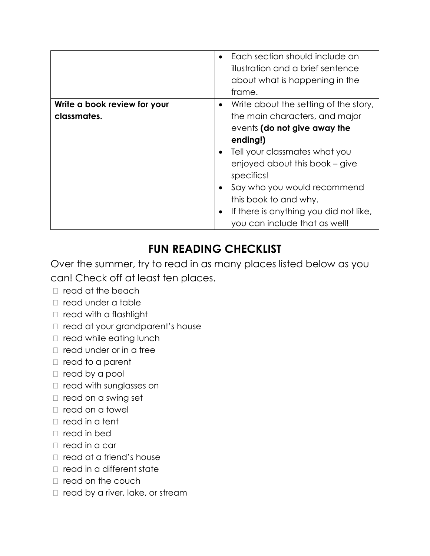|                              | Each section should include an<br>$\bullet$<br>illustration and a brief sentence<br>about what is happening in the<br>frame. |
|------------------------------|------------------------------------------------------------------------------------------------------------------------------|
| Write a book review for your | Write about the setting of the story,<br>$\bullet$                                                                           |
| classmates.                  | the main characters, and major                                                                                               |
|                              | events (do not give away the                                                                                                 |
|                              | ending!)                                                                                                                     |
|                              | Tell your classmates what you                                                                                                |
|                              | enjoyed about this book – give                                                                                               |
|                              | specifics!                                                                                                                   |
|                              | Say who you would recommend                                                                                                  |
|                              | this book to and why.                                                                                                        |
|                              | If there is anything you did not like,<br>$\bullet$                                                                          |
|                              | you can include that as well!                                                                                                |

## **FUN READING CHECKLIST**

Over the summer, try to read in as many places listed below as you can! Check off at least ten places.

- $\Box$  read at the beach
- read under a table
- **D** read with a flashlight
- □ read at your grandparent's house
- $\Box$  read while eating lunch
- $\Box$  read under or in a tree
- $\Box$  read to a parent
- $\Box$  read by a pool
- **D** read with sunglasses on
- $\Box$  read on a swing set
- □ read on a towel
- $\Box$  read in a tent
- $\Box$  read in bed
- $\Box$  read in a car
- $\Box$  read at a friend's house
- $\Box$  read in a different state
- $\Box$  read on the couch
- **D** read by a river, lake, or stream